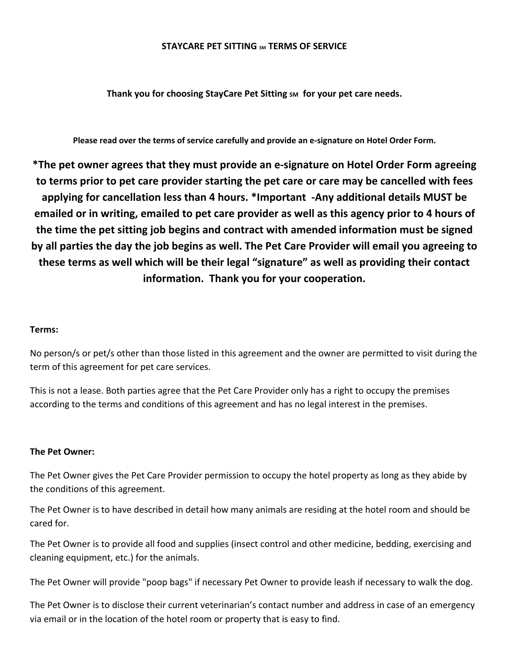### **STAYCARE PET SITTING SM TERMS OF SERVICE**

**Thank you for choosing StayCare Pet Sitting SM** for your pet care needs.

**Please read over the terms of service carefully and provide an e-signature on Hotel Order Form.**

**\*The pet owner agrees that they must provide an e-signature on Hotel Order Form agreeing to terms prior to pet care provider starting the pet care or care may be cancelled with fees applying for cancellation less than 4 hours. \*Important -Any additional details MUST be** emailed or in writing, emailed to pet care provider as well as this agency prior to 4 hours of **the time the pet sitting job begins and contract with amended information must be signed** by all parties the day the job begins as well. The Pet Care Provider will email you agreeing to **these terms as well which will be their legal "signature" as well as providing their contact information. Thank you for your cooperation.**

### **Terms:**

No person/s or pet/s other than those listed in this agreement and the owner are permitted to visit during the term of this agreement for pet care services.

This is not a lease. Both parties agree that the Pet Care Provider only has a right to occupy the premises according to the terms and conditions of this agreement and has no legal interest in the premises.

## **The Pet Owner:**

The Pet Owner gives the Pet Care Provider permission to occupy the hotel property as long as they abide by the conditions of this agreement.

The Pet Owner is to have described in detail how many animals are residing at the hotel room and should be cared for.

The Pet Owner is to provide all food and supplies (insect control and other medicine, bedding, exercising and cleaning equipment, etc.) for the animals.

The Pet Owner will provide "poop bags" if necessary Pet Owner to provide leash if necessary to walk the dog.

The Pet Owner is to disclose their current veterinarian's contact number and address in case of an emergency via email or in the location of the hotel room or property that is easy to find.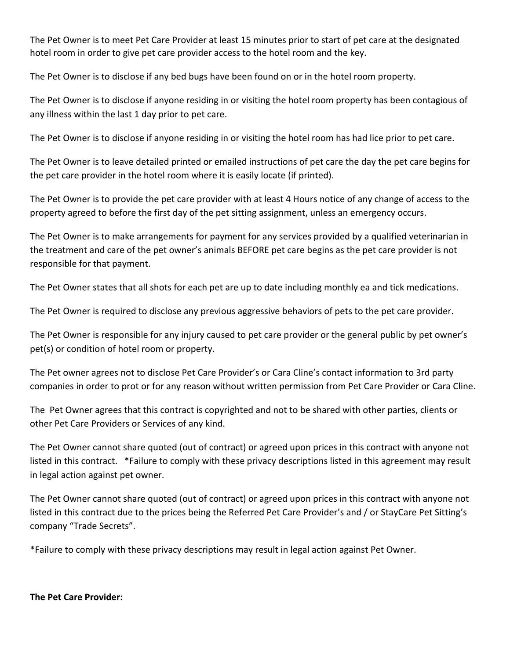The Pet Owner is to meet Pet Care Provider at least 15 minutes prior to start of pet care at the designated hotel room in order to give pet care provider access to the hotel room and the key.

The Pet Owner is to disclose if any bed bugs have been found on or in the hotel room property.

The Pet Owner is to disclose if anyone residing in or visiting the hotel room property has been contagious of any illness within the last 1 day prior to pet care.

The Pet Owner is to disclose if anyone residing in or visiting the hotel room has had lice prior to pet care.

The Pet Owner is to leave detailed printed or emailed instructions of pet care the day the pet care begins for the pet care provider in the hotel room where it is easily locate (if printed).

The Pet Owner is to provide the pet care provider with at least 4 Hours notice of any change of access to the property agreed to before the first day of the pet sitting assignment, unless an emergency occurs.

The Pet Owner is to make arrangements for payment for any services provided by a qualified veterinarian in the treatment and care of the pet owner's animals BEFORE pet care begins as the pet care provider is not responsible for that payment.

The Pet Owner states that all shots for each pet are up to date including monthly ea and tick medications.

The Pet Owner is required to disclose any previous aggressive behaviors of pets to the pet care provider.

The Pet Owner is responsible for any injury caused to pet care provider or the general public by pet owner's pet(s) or condition of hotel room or property.

The Pet owner agrees not to disclose Pet Care Provider's or Cara Cline's contact information to 3rd party companies in order to prot or for any reason without written permission from Pet Care Provider or Cara Cline.

The Pet Owner agrees that this contract is copyrighted and not to be shared with other parties, clients or other Pet Care Providers or Services of any kind.

The Pet Owner cannot share quoted (out of contract) or agreed upon prices in this contract with anyone not listed in this contract. \*Failure to comply with these privacy descriptions listed in this agreement may result in legal action against pet owner.

The Pet Owner cannot share quoted (out of contract) or agreed upon prices in this contract with anyone not listed in this contract due to the prices being the Referred Pet Care Provider's and / or StayCare Pet Sitting's company "Trade Secrets".

\*Failure to comply with these privacy descriptions may result in legal action against Pet Owner.

**The Pet Care Provider:**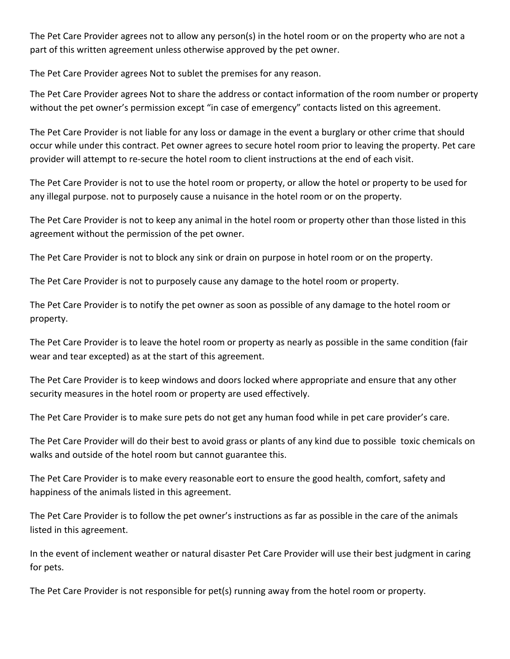The Pet Care Provider agrees not to allow any person(s) in the hotel room or on the property who are not a part of this written agreement unless otherwise approved by the pet owner.

The Pet Care Provider agrees Not to sublet the premises for any reason.

The Pet Care Provider agrees Not to share the address or contact information of the room number or property without the pet owner's permission except "in case of emergency" contacts listed on this agreement.

The Pet Care Provider is not liable for any loss or damage in the event a burglary or other crime that should occur while under this contract. Pet owner agrees to secure hotel room prior to leaving the property. Pet care provider will attempt to re-secure the hotel room to client instructions at the end of each visit.

The Pet Care Provider is not to use the hotel room or property, or allow the hotel or property to be used for any illegal purpose. not to purposely cause a nuisance in the hotel room or on the property.

The Pet Care Provider is not to keep any animal in the hotel room or property other than those listed in this agreement without the permission of the pet owner.

The Pet Care Provider is not to block any sink or drain on purpose in hotel room or on the property.

The Pet Care Provider is not to purposely cause any damage to the hotel room or property.

The Pet Care Provider is to notify the pet owner as soon as possible of any damage to the hotel room or property.

The Pet Care Provider is to leave the hotel room or property as nearly as possible in the same condition (fair wear and tear excepted) as at the start of this agreement.

The Pet Care Provider is to keep windows and doors locked where appropriate and ensure that any other security measures in the hotel room or property are used effectively.

The Pet Care Provider is to make sure pets do not get any human food while in pet care provider's care.

The Pet Care Provider will do their best to avoid grass or plants of any kind due to possible toxic chemicals on walks and outside of the hotel room but cannot guarantee this.

The Pet Care Provider is to make every reasonable eort to ensure the good health, comfort, safety and happiness of the animals listed in this agreement.

The Pet Care Provider is to follow the pet owner's instructions as far as possible in the care of the animals listed in this agreement.

In the event of inclement weather or natural disaster Pet Care Provider will use their best judgment in caring for pets.

The Pet Care Provider is not responsible for pet(s) running away from the hotel room or property.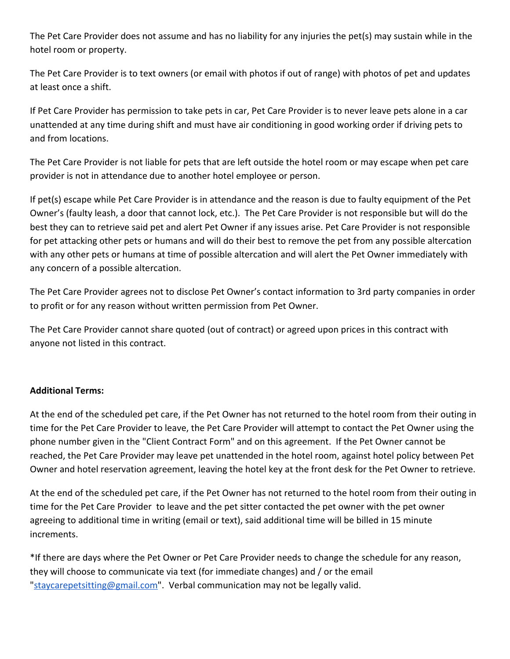The Pet Care Provider does not assume and has no liability for any injuries the pet(s) may sustain while in the hotel room or property.

The Pet Care Provider is to text owners (or email with photos if out of range) with photos of pet and updates at least once a shift.

If Pet Care Provider has permission to take pets in car, Pet Care Provider is to never leave pets alone in a car unattended at any time during shift and must have air conditioning in good working order if driving pets to and from locations.

The Pet Care Provider is not liable for pets that are left outside the hotel room or may escape when pet care provider is not in attendance due to another hotel employee or person.

If pet(s) escape while Pet Care Provider is in attendance and the reason is due to faulty equipment of the Pet Owner's (faulty leash, a door that cannot lock, etc.). The Pet Care Provider is not responsible but will do the best they can to retrieve said pet and alert Pet Owner if any issues arise. Pet Care Provider is not responsible for pet attacking other pets or humans and will do their best to remove the pet from any possible altercation with any other pets or humans at time of possible altercation and will alert the Pet Owner immediately with any concern of a possible altercation.

The Pet Care Provider agrees not to disclose Pet Owner's contact information to 3rd party companies in order to profit or for any reason without written permission from Pet Owner.

The Pet Care Provider cannot share quoted (out of contract) or agreed upon prices in this contract with anyone not listed in this contract.

# **Additional Terms:**

At the end of the scheduled pet care, if the Pet Owner has not returned to the hotel room from their outing in time for the Pet Care Provider to leave, the Pet Care Provider will attempt to contact the Pet Owner using the phone number given in the "Client Contract Form" and on this agreement. If the Pet Owner cannot be reached, the Pet Care Provider may leave pet unattended in the hotel room, against hotel policy between Pet Owner and hotel reservation agreement, leaving the hotel key at the front desk for the Pet Owner to retrieve.

At the end of the scheduled pet care, if the Pet Owner has not returned to the hotel room from their outing in time for the Pet Care Provider to leave and the pet sitter contacted the pet owner with the pet owner agreeing to additional time in writing (email or text), said additional time will be billed in 15 minute increments.

\*If there are days where the Pet Owner or Pet Care Provider needs to change the schedule for any reason, they will choose to communicate via text (for immediate changes) and / or the email ["staycarepetsitting@gmail.com"](mailto:staycarepetsitting@gmail.com). Verbal communication may not be legally valid.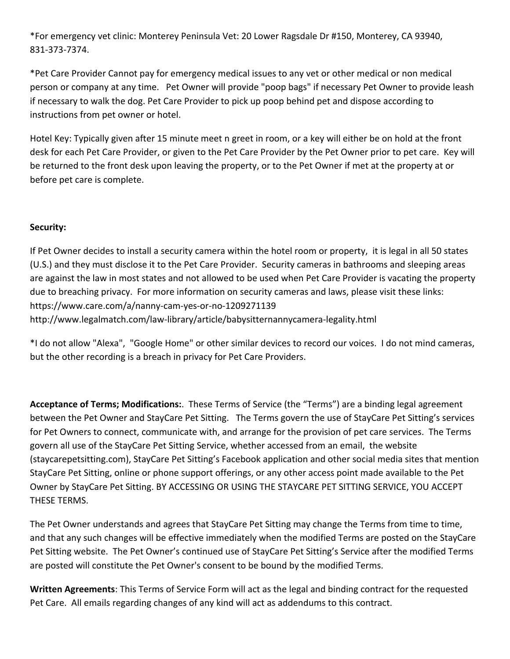\*For emergency vet clinic: Monterey Peninsula Vet: 20 Lower Ragsdale Dr #150, Monterey, CA 93940, 831-373-7374.

\*Pet Care Provider Cannot pay for emergency medical issues to any vet or other medical or non medical person or company at any time. Pet Owner will provide "poop bags" if necessary Pet Owner to provide leash if necessary to walk the dog. Pet Care Provider to pick up poop behind pet and dispose according to instructions from pet owner or hotel.

Hotel Key: Typically given after 15 minute meet n greet in room, or a key will either be on hold at the front desk for each Pet Care Provider, or given to the Pet Care Provider by the Pet Owner prior to pet care. Key will be returned to the front desk upon leaving the property, or to the Pet Owner if met at the property at or before pet care is complete.

# **Security:**

If Pet Owner decides to install a security camera within the hotel room or property, it is legal in all 50 states (U.S.) and they must disclose it to the Pet Care Provider. Security cameras in bathrooms and sleeping areas are against the law in most states and not allowed to be used when Pet Care Provider is vacating the property due to breaching privacy. For more information on security cameras and laws, please visit these links: https://www.care.com/a/nanny-cam-yes-or-no-1209271139 http://www.legalmatch.com/law-library/article/babysitternannycamera-legality.html

\*I do not allow "Alexa", "Google Home" or other similar devices to record our voices. I do not mind cameras, but the other recording is a breach in privacy for Pet Care Providers.

**Acceptance of Terms; Modifications:**. These Terms of Service (the "Terms") are a binding legal agreement between the Pet Owner and StayCare Pet Sitting. The Terms govern the use of StayCare Pet Sitting's services for Pet Owners to connect, communicate with, and arrange for the provision of pet care services. The Terms govern all use of the StayCare Pet Sitting Service, whether accessed from an email, the website (staycarepetsitting.com), StayCare Pet Sitting's Facebook application and other social media sites that mention StayCare Pet Sitting, online or phone support offerings, or any other access point made available to the Pet Owner by StayCare Pet Sitting. BY ACCESSING OR USING THE STAYCARE PET SITTING SERVICE, YOU ACCEPT THESE TERMS.

The Pet Owner understands and agrees that StayCare Pet Sitting may change the Terms from time to time, and that any such changes will be effective immediately when the modified Terms are posted on the StayCare Pet Sitting website. The Pet Owner's continued use of StayCare Pet Sitting's Service after the modified Terms are posted will constitute the Pet Owner's consent to be bound by the modified Terms.

**Written Agreements**: This Terms of Service Form will act as the legal and binding contract for the requested Pet Care. All emails regarding changes of any kind will act as addendums to this contract.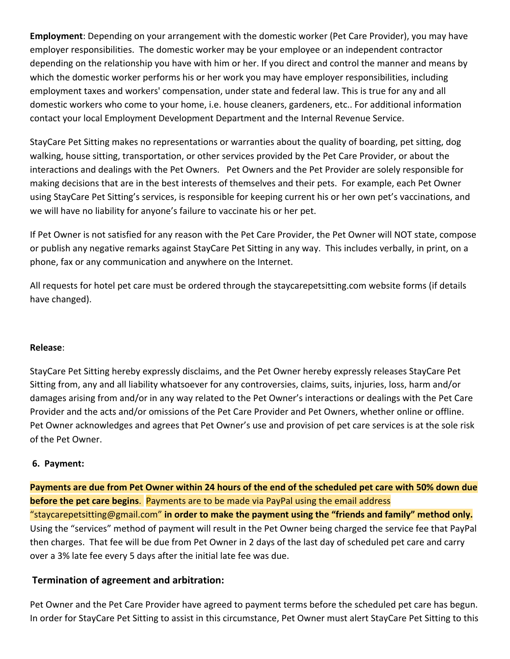**Employment**: Depending on your arrangement with the domestic worker (Pet Care Provider), you may have employer responsibilities. The domestic worker may be your employee or an independent contractor depending on the relationship you have with him or her. If you direct and control the manner and means by which the domestic worker performs his or her work you may have employer responsibilities, including employment taxes and workers' compensation, under state and federal law. This is true for any and all domestic workers who come to your home, i.e. house cleaners, gardeners, etc.. For additional information contact your local Employment Development Department and the Internal Revenue Service.

StayCare Pet Sitting makes no representations or warranties about the quality of boarding, pet sitting, dog walking, house sitting, transportation, or other services provided by the Pet Care Provider, or about the interactions and dealings with the Pet Owners. Pet Owners and the Pet Provider are solely responsible for making decisions that are in the best interests of themselves and their pets. For example, each Pet Owner using StayCare Pet Sitting's services, is responsible for keeping current his or her own pet's vaccinations, and we will have no liability for anyone's failure to vaccinate his or her pet.

If Pet Owner is not satisfied for any reason with the Pet Care Provider, the Pet Owner will NOT state, compose or publish any negative remarks against StayCare Pet Sitting in any way. This includes verbally, in print, on a phone, fax or any communication and anywhere on the Internet.

All requests for hotel pet care must be ordered through the staycarepetsitting.com website forms (if details have changed).

# **Release**:

StayCare Pet Sitting hereby expressly disclaims, and the Pet Owner hereby expressly releases StayCare Pet Sitting from, any and all liability whatsoever for any controversies, claims, suits, injuries, loss, harm and/or damages arising from and/or in any way related to the Pet Owner's interactions or dealings with the Pet Care Provider and the acts and/or omissions of the Pet Care Provider and Pet Owners, whether online or offline. Pet Owner acknowledges and agrees that Pet Owner's use and provision of pet care services is at the sole risk of the Pet Owner.

## **6. Payment:**

**Payments are due from Pet Owner within 24 hours of the end of the scheduled pet care with 50% down due before the pet care begins**. Payments are to be made via PayPal using the email address "staycarepetsitting@gmail.com" **in order to make the payment using the "friends and family" method only.** Using the "services" method of payment will result in the Pet Owner being charged the service fee that PayPal then charges. That fee will be due from Pet Owner in 2 days of the last day of scheduled pet care and carry over a 3% late fee every 5 days after the initial late fee was due.

# **Termination of agreement and arbitration:**

Pet Owner and the Pet Care Provider have agreed to payment terms before the scheduled pet care has begun. In order for StayCare Pet Sitting to assist in this circumstance, Pet Owner must alert StayCare Pet Sitting to this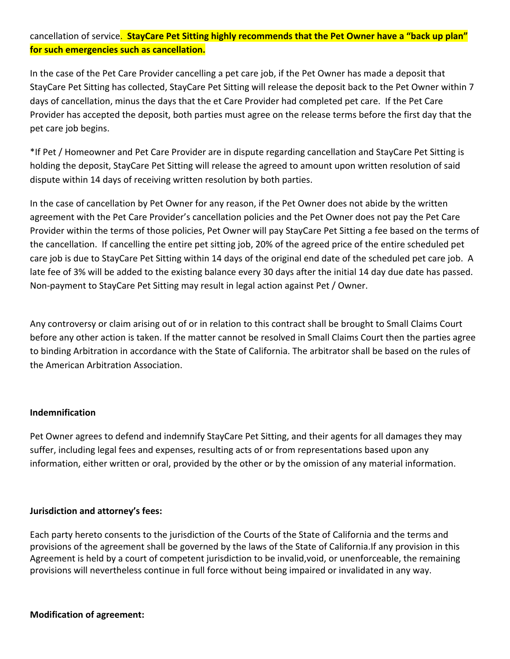# cancellation of service. **StayCare Pet Sitting highly recommends that the Pet Owner have a "back up plan" for such emergencies such as cancellation.**

In the case of the Pet Care Provider cancelling a pet care job, if the Pet Owner has made a deposit that StayCare Pet Sitting has collected, StayCare Pet Sitting will release the deposit back to the Pet Owner within 7 days of cancellation, minus the days that the et Care Provider had completed pet care. If the Pet Care Provider has accepted the deposit, both parties must agree on the release terms before the first day that the pet care job begins.

\*If Pet / Homeowner and Pet Care Provider are in dispute regarding cancellation and StayCare Pet Sitting is holding the deposit, StayCare Pet Sitting will release the agreed to amount upon written resolution of said dispute within 14 days of receiving written resolution by both parties.

In the case of cancellation by Pet Owner for any reason, if the Pet Owner does not abide by the written agreement with the Pet Care Provider's cancellation policies and the Pet Owner does not pay the Pet Care Provider within the terms of those policies, Pet Owner will pay StayCare Pet Sitting a fee based on the terms of the cancellation. If cancelling the entire pet sitting job, 20% of the agreed price of the entire scheduled pet care job is due to StayCare Pet Sitting within 14 days of the original end date of the scheduled pet care job. A late fee of 3% will be added to the existing balance every 30 days after the initial 14 day due date has passed. Non-payment to StayCare Pet Sitting may result in legal action against Pet / Owner.

Any controversy or claim arising out of or in relation to this contract shall be brought to Small Claims Court before any other action is taken. If the matter cannot be resolved in Small Claims Court then the parties agree to binding Arbitration in accordance with the State of California. The arbitrator shall be based on the rules of the American Arbitration Association.

## **Indemnification**

Pet Owner agrees to defend and indemnify StayCare Pet Sitting, and their agents for all damages they may suffer, including legal fees and expenses, resulting acts of or from representations based upon any information, either written or oral, provided by the other or by the omission of any material information.

## **Jurisdiction and attorney's fees:**

Each party hereto consents to the jurisdiction of the Courts of the State of California and the terms and provisions of the agreement shall be governed by the laws of the State of California.If any provision in this Agreement is held by a court of competent jurisdiction to be invalid,void, or unenforceable, the remaining provisions will nevertheless continue in full force without being impaired or invalidated in any way.